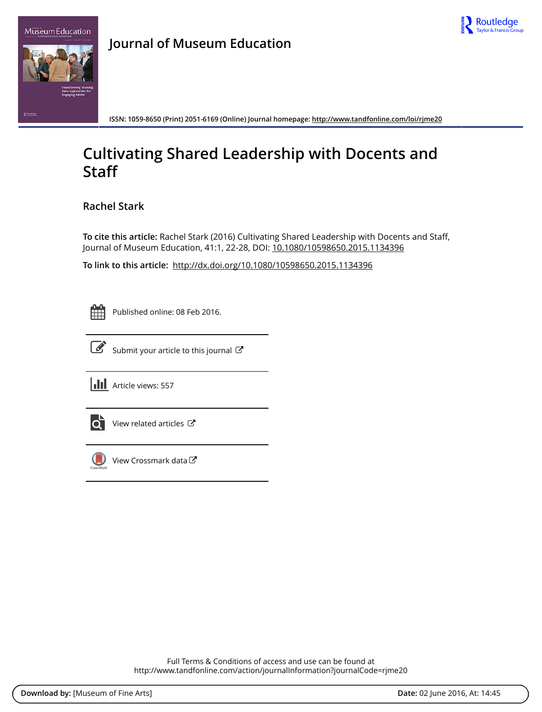



**Journal of Museum Education**

**ISSN: 1059-8650 (Print) 2051-6169 (Online) Journal homepage:<http://www.tandfonline.com/loi/rjme20>**

# **Cultivating Shared Leadership with Docents and Staff**

# **Rachel Stark**

**To cite this article:** Rachel Stark (2016) Cultivating Shared Leadership with Docents and Staff, Journal of Museum Education, 41:1, 22-28, DOI: [10.1080/10598650.2015.1134396](http://www.tandfonline.com/action/showCitFormats?doi=10.1080/10598650.2015.1134396)

**To link to this article:** <http://dx.doi.org/10.1080/10598650.2015.1134396>



Published online: 08 Feb 2016.



 $\overrightarrow{S}$  [Submit your article to this journal](http://www.tandfonline.com/action/authorSubmission?journalCode=rjme20&page=instructions)  $\overrightarrow{S}$ 





 $\overrightarrow{Q}$  [View related articles](http://www.tandfonline.com/doi/mlt/10.1080/10598650.2015.1134396)  $\overrightarrow{C}$ 



[View Crossmark data](http://crossmark.crossref.org/dialog/?doi=10.1080/10598650.2015.1134396&domain=pdf&date_stamp=2016-02-08)  $\mathbb{Z}$ 

Full Terms & Conditions of access and use can be found at <http://www.tandfonline.com/action/journalInformation?journalCode=rjme20>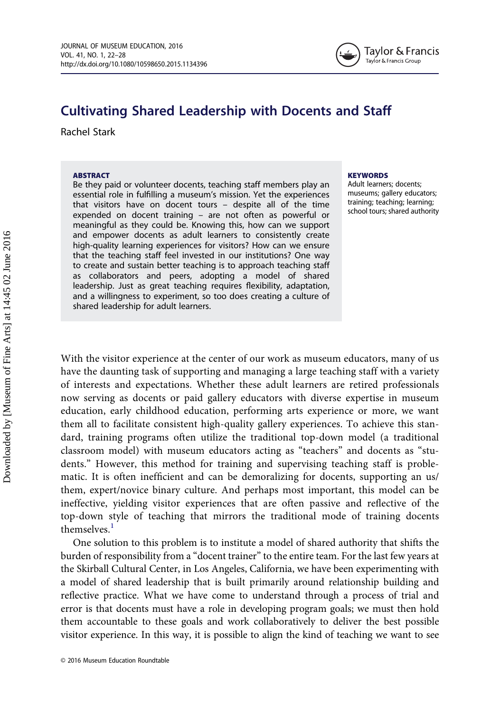

# Cultivating Shared Leadership with Docents and Staff

Rachel Stark

#### **ABSTRACT**

Be they paid or volunteer docents, teaching staff members play an essential role in fulfilling a museum's mission. Yet the experiences that visitors have on docent tours – despite all of the time expended on docent training – are not often as powerful or meaningful as they could be. Knowing this, how can we support and empower docents as adult learners to consistently create high-quality learning experiences for visitors? How can we ensure that the teaching staff feel invested in our institutions? One way to create and sustain better teaching is to approach teaching staff as collaborators and peers, adopting a model of shared leadership. Just as great teaching requires flexibility, adaptation, and a willingness to experiment, so too does creating a culture of shared leadership for adult learners.

#### **KEYWORDS**

Adult learners; docents; museums; gallery educators; training; teaching; learning; school tours; shared authority

With the visitor experience at the center of our work as museum educators, many of us have the daunting task of supporting and managing a large teaching staff with a variety of interests and expectations. Whether these adult learners are retired professionals now serving as docents or paid gallery educators with diverse expertise in museum education, early childhood education, performing arts experience or more, we want them all to facilitate consistent high-quality gallery experiences. To achieve this standard, training programs often utilize the traditional top-down model (a traditional classroom model) with museum educators acting as "teachers" and docents as "students." However, this method for training and supervising teaching staff is problematic. It is often inefficient and can be demoralizing for docents, supporting an us/ them, expert/novice binary culture. And perhaps most important, this model can be ineffective, yielding visitor experiences that are often passive and reflective of the top-down style of teaching that mirrors the traditional mode of training docents themselves.<sup>[1](#page-6-0)</sup>

One solution to this problem is to institute a model of shared authority that shifts the burden of responsibility from a "docent trainer" to the entire team. For the last few years at the Skirball Cultural Center, in Los Angeles, California, we have been experimenting with a model of shared leadership that is built primarily around relationship building and reflective practice. What we have come to understand through a process of trial and error is that docents must have a role in developing program goals; we must then hold them accountable to these goals and work collaboratively to deliver the best possible visitor experience. In this way, it is possible to align the kind of teaching we want to see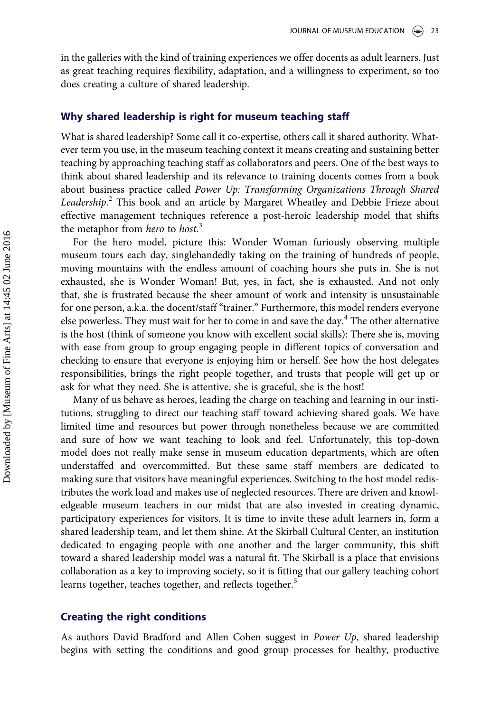in the galleries with the kind of training experiences we offer docents as adult learners. Just as great teaching requires flexibility, adaptation, and a willingness to experiment, so too does creating a culture of shared leadership.

#### Why shared leadership is right for museum teaching staff

What is shared leadership? Some call it co-expertise, others call it shared authority. Whatever term you use, in the museum teaching context it means creating and sustaining better teaching by approaching teaching staff as collaborators and peers. One of the best ways to think about shared leadership and its relevance to training docents comes from a book about business practice called Power Up: Transforming Organizations Through Shared Leadership.<sup>[2](#page-6-0)</sup> This book and an article by Margaret Wheatley and Debbie Frieze about effective management techniques reference a post-heroic leadership model that shifts the metaphor from hero to host.<sup>[3](#page-6-0)</sup>

For the hero model, picture this: Wonder Woman furiously observing multiple museum tours each day, singlehandedly taking on the training of hundreds of people, moving mountains with the endless amount of coaching hours she puts in. She is not exhausted, she is Wonder Woman! But, yes, in fact, she is exhausted. And not only that, she is frustrated because the sheer amount of work and intensity is unsustainable for one person, a.k.a. the docent/staff "trainer." Furthermore, this model renders everyone else powerless. They must wait for her to come in and save the day.<sup>4</sup> The other alternative is the host (think of someone you know with excellent social skills): There she is, moving with ease from group to group engaging people in different topics of conversation and checking to ensure that everyone is enjoying him or herself. See how the host delegates responsibilities, brings the right people together, and trusts that people will get up or ask for what they need. She is attentive, she is graceful, she is the host!

Many of us behave as heroes, leading the charge on teaching and learning in our institutions, struggling to direct our teaching staff toward achieving shared goals. We have limited time and resources but power through nonetheless because we are committed and sure of how we want teaching to look and feel. Unfortunately, this top-down model does not really make sense in museum education departments, which are often understaffed and overcommitted. But these same staff members are dedicated to making sure that visitors have meaningful experiences. Switching to the host model redistributes the work load and makes use of neglected resources. There are driven and knowledgeable museum teachers in our midst that are also invested in creating dynamic, participatory experiences for visitors. It is time to invite these adult learners in, form a shared leadership team, and let them shine. At the Skirball Cultural Center, an institution dedicated to engaging people with one another and the larger community, this shift toward a shared leadership model was a natural fit. The Skirball is a place that envisions collaboration as a key to improving society, so it is fitting that our gallery teaching cohort learns together, teaches together, and reflects together.<sup>[5](#page-6-0)</sup>

## Creating the right conditions

As authors David Bradford and Allen Cohen suggest in Power Up, shared leadership begins with setting the conditions and good group processes for healthy, productive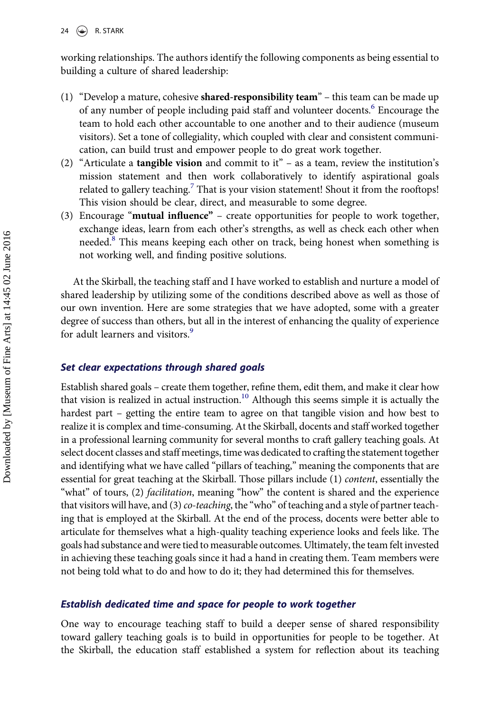24  $\leftarrow$  R. STARK

working relationships. The authors identify the following components as being essential to building a culture of shared leadership:

- (1) "Develop a mature, cohesive shared-responsibility team" this team can be made up of any number of people including paid staff and volunteer docents.<sup>6</sup> Encourage the team to hold each other accountable to one another and to their audience (museum visitors). Set a tone of collegiality, which coupled with clear and consistent communication, can build trust and empower people to do great work together.
- (2) "Articulate a **tangible vision** and commit to it" as a team, review the institution's mission statement and then work collaboratively to identify aspirational goals related to gallery teaching.<sup>[7](#page-6-0)</sup> That is your vision statement! Shout it from the rooftops! This vision should be clear, direct, and measurable to some degree.
- (3) Encourage "mutual influence" create opportunities for people to work together, exchange ideas, learn from each other's strengths, as well as check each other when needed[.8](#page-6-0) This means keeping each other on track, being honest when something is not working well, and finding positive solutions.

At the Skirball, the teaching staff and I have worked to establish and nurture a model of shared leadership by utilizing some of the conditions described above as well as those of our own invention. Here are some strategies that we have adopted, some with a greater degree of success than others, but all in the interest of enhancing the quality of experience for adult learners and visitors.<sup>9</sup>

# Set clear expectations through shared goals

Establish shared goals – create them together, refine them, edit them, and make it clear how that vision is realized in actual instruction.<sup>10</sup> Although this seems simple it is actually the hardest part – getting the entire team to agree on that tangible vision and how best to realize it is complex and time-consuming. At the Skirball, docents and staff worked together in a professional learning community for several months to craft gallery teaching goals. At select docent classes and staff meetings, time was dedicated to crafting the statement together and identifying what we have called "pillars of teaching," meaning the components that are essential for great teaching at the Skirball. Those pillars include (1) content, essentially the "what" of tours, (2) *facilitation*, meaning "how" the content is shared and the experience that visitors will have, and (3) co-teaching, the "who" of teaching and a style of partner teaching that is employed at the Skirball. At the end of the process, docents were better able to articulate for themselves what a high-quality teaching experience looks and feels like. The goals had substance and were tied to measurable outcomes. Ultimately, the team felt invested in achieving these teaching goals since it had a hand in creating them. Team members were not being told what to do and how to do it; they had determined this for themselves.

# Establish dedicated time and space for people to work together

One way to encourage teaching staff to build a deeper sense of shared responsibility toward gallery teaching goals is to build in opportunities for people to be together. At the Skirball, the education staff established a system for reflection about its teaching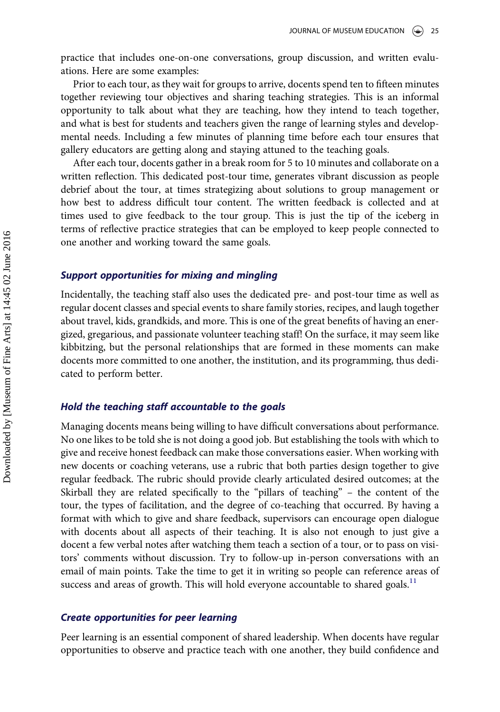practice that includes one-on-one conversations, group discussion, and written evaluations. Here are some examples:

Prior to each tour, as they wait for groups to arrive, docents spend ten to fifteen minutes together reviewing tour objectives and sharing teaching strategies. This is an informal opportunity to talk about what they are teaching, how they intend to teach together, and what is best for students and teachers given the range of learning styles and developmental needs. Including a few minutes of planning time before each tour ensures that gallery educators are getting along and staying attuned to the teaching goals.

After each tour, docents gather in a break room for 5 to 10 minutes and collaborate on a written reflection. This dedicated post-tour time, generates vibrant discussion as people debrief about the tour, at times strategizing about solutions to group management or how best to address difficult tour content. The written feedback is collected and at times used to give feedback to the tour group. This is just the tip of the iceberg in terms of reflective practice strategies that can be employed to keep people connected to one another and working toward the same goals.

#### Support opportunities for mixing and mingling

Incidentally, the teaching staff also uses the dedicated pre- and post-tour time as well as regular docent classes and special events to share family stories, recipes, and laugh together about travel, kids, grandkids, and more. This is one of the great benefits of having an energized, gregarious, and passionate volunteer teaching staff! On the surface, it may seem like kibbitzing, but the personal relationships that are formed in these moments can make docents more committed to one another, the institution, and its programming, thus dedicated to perform better.

# Hold the teaching staff accountable to the goals

Managing docents means being willing to have difficult conversations about performance. No one likes to be told she is not doing a good job. But establishing the tools with which to give and receive honest feedback can make those conversations easier. When working with new docents or coaching veterans, use a rubric that both parties design together to give regular feedback. The rubric should provide clearly articulated desired outcomes; at the Skirball they are related specifically to the "pillars of teaching" – the content of the tour, the types of facilitation, and the degree of co-teaching that occurred. By having a format with which to give and share feedback, supervisors can encourage open dialogue with docents about all aspects of their teaching. It is also not enough to just give a docent a few verbal notes after watching them teach a section of a tour, or to pass on visitors' comments without discussion. Try to follow-up in-person conversations with an email of main points. Take the time to get it in writing so people can reference areas of success and areas of growth. This will hold everyone accountable to shared goals.<sup>[11](#page-6-0)</sup>

## Create opportunities for peer learning

Peer learning is an essential component of shared leadership. When docents have regular opportunities to observe and practice teach with one another, they build confidence and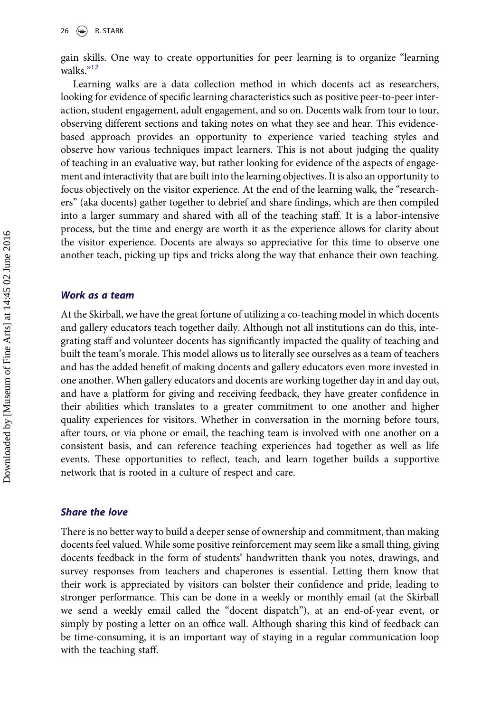gain skills. One way to create opportunities for peer learning is to organize "learning walks." [12](#page-6-0)

Learning walks are a data collection method in which docents act as researchers, looking for evidence of specific learning characteristics such as positive peer-to-peer interaction, student engagement, adult engagement, and so on. Docents walk from tour to tour, observing different sections and taking notes on what they see and hear. This evidencebased approach provides an opportunity to experience varied teaching styles and observe how various techniques impact learners. This is not about judging the quality of teaching in an evaluative way, but rather looking for evidence of the aspects of engagement and interactivity that are built into the learning objectives. It is also an opportunity to focus objectively on the visitor experience. At the end of the learning walk, the "researchers" (aka docents) gather together to debrief and share findings, which are then compiled into a larger summary and shared with all of the teaching staff. It is a labor-intensive process, but the time and energy are worth it as the experience allows for clarity about the visitor experience. Docents are always so appreciative for this time to observe one another teach, picking up tips and tricks along the way that enhance their own teaching.

# Work as a team

At the Skirball, we have the great fortune of utilizing a co-teaching model in which docents and gallery educators teach together daily. Although not all institutions can do this, integrating staff and volunteer docents has significantly impacted the quality of teaching and built the team's morale. This model allows us to literally see ourselves as a team of teachers and has the added benefit of making docents and gallery educators even more invested in one another. When gallery educators and docents are working together day in and day out, and have a platform for giving and receiving feedback, they have greater confidence in their abilities which translates to a greater commitment to one another and higher quality experiences for visitors. Whether in conversation in the morning before tours, after tours, or via phone or email, the teaching team is involved with one another on a consistent basis, and can reference teaching experiences had together as well as life events. These opportunities to reflect, teach, and learn together builds a supportive network that is rooted in a culture of respect and care.

# Share the love

There is no better way to build a deeper sense of ownership and commitment, than making docents feel valued. While some positive reinforcement may seem like a small thing, giving docents feedback in the form of students' handwritten thank you notes, drawings, and survey responses from teachers and chaperones is essential. Letting them know that their work is appreciated by visitors can bolster their confidence and pride, leading to stronger performance. This can be done in a weekly or monthly email (at the Skirball we send a weekly email called the "docent dispatch"), at an end-of-year event, or simply by posting a letter on an office wall. Although sharing this kind of feedback can be time-consuming, it is an important way of staying in a regular communication loop with the teaching staff.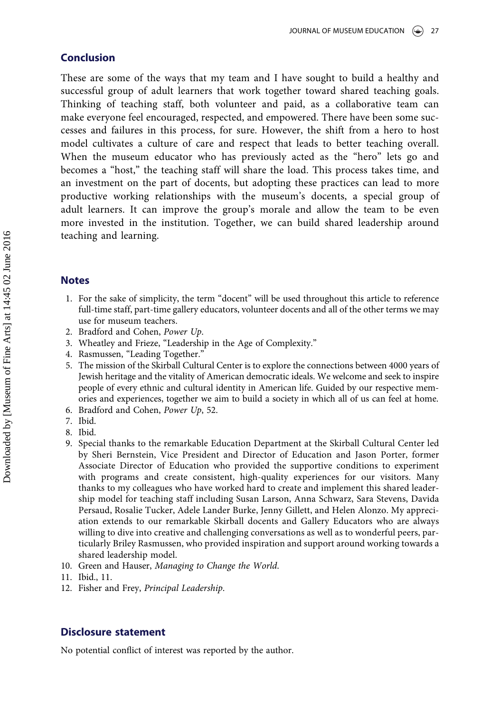# <span id="page-6-0"></span>Conclusion

These are some of the ways that my team and I have sought to build a healthy and successful group of adult learners that work together toward shared teaching goals. Thinking of teaching staff, both volunteer and paid, as a collaborative team can make everyone feel encouraged, respected, and empowered. There have been some successes and failures in this process, for sure. However, the shift from a hero to host model cultivates a culture of care and respect that leads to better teaching overall. When the museum educator who has previously acted as the "hero" lets go and becomes a "host," the teaching staff will share the load. This process takes time, and an investment on the part of docents, but adopting these practices can lead to more productive working relationships with the museum's docents, a special group of adult learners. It can improve the group's morale and allow the team to be even more invested in the institution. Together, we can build shared leadership around teaching and learning.

# **Notes**

- 1. For the sake of simplicity, the term "docent" will be used throughout this article to reference full-time staff, part-time gallery educators, volunteer docents and all of the other terms we may use for museum teachers.
- 2. Bradford and Cohen, Power Up.
- 3. Wheatley and Frieze, "Leadership in the Age of Complexity."
- 4. Rasmussen, "Leading Together."
- 5. The mission of the Skirball Cultural Center is to explore the connections between 4000 years of Jewish heritage and the vitality of American democratic ideals. We welcome and seek to inspire people of every ethnic and cultural identity in American life. Guided by our respective memories and experiences, together we aim to build a society in which all of us can feel at home.
- 6. Bradford and Cohen, Power Up, 52.
- 7. Ibid.
- 8. Ibid.
- 9. Special thanks to the remarkable Education Department at the Skirball Cultural Center led by Sheri Bernstein, Vice President and Director of Education and Jason Porter, former Associate Director of Education who provided the supportive conditions to experiment with programs and create consistent, high-quality experiences for our visitors. Many thanks to my colleagues who have worked hard to create and implement this shared leadership model for teaching staff including Susan Larson, Anna Schwarz, Sara Stevens, Davida Persaud, Rosalie Tucker, Adele Lander Burke, Jenny Gillett, and Helen Alonzo. My appreciation extends to our remarkable Skirball docents and Gallery Educators who are always willing to dive into creative and challenging conversations as well as to wonderful peers, particularly Briley Rasmussen, who provided inspiration and support around working towards a shared leadership model.
- 10. Green and Hauser, Managing to Change the World.
- 11. Ibid., 11.
- 12. Fisher and Frey, Principal Leadership.

# Disclosure statement

No potential conflict of interest was reported by the author.